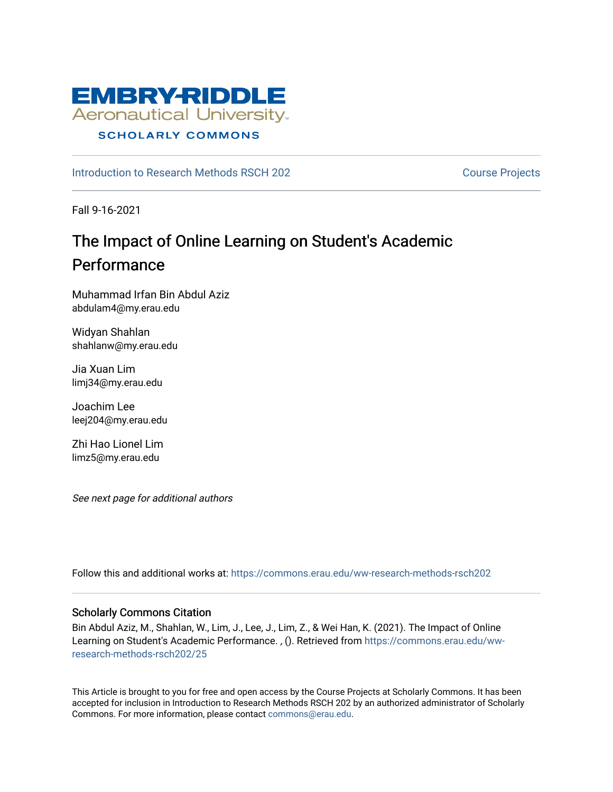

## [Introduction to Research Methods RSCH 202](https://commons.erau.edu/ww-research-methods-rsch202) Course Projects

Fall 9-16-2021

# The Impact of Online Learning on Student's Academic Performance

Muhammad Irfan Bin Abdul Aziz abdulam4@my.erau.edu

Widyan Shahlan shahlanw@my.erau.edu

Jia Xuan Lim limj34@my.erau.edu

Joachim Lee leej204@my.erau.edu

Zhi Hao Lionel Lim limz5@my.erau.edu

See next page for additional authors

Follow this and additional works at: [https://commons.erau.edu/ww-research-methods-rsch202](https://commons.erau.edu/ww-research-methods-rsch202?utm_source=commons.erau.edu%2Fww-research-methods-rsch202%2F25&utm_medium=PDF&utm_campaign=PDFCoverPages) 

## Scholarly Commons Citation

Bin Abdul Aziz, M., Shahlan, W., Lim, J., Lee, J., Lim, Z., & Wei Han, K. (2021). The Impact of Online Learning on Student's Academic Performance. , (). Retrieved from [https://commons.erau.edu/ww](https://commons.erau.edu/ww-research-methods-rsch202/25?utm_source=commons.erau.edu%2Fww-research-methods-rsch202%2F25&utm_medium=PDF&utm_campaign=PDFCoverPages)[research-methods-rsch202/25](https://commons.erau.edu/ww-research-methods-rsch202/25?utm_source=commons.erau.edu%2Fww-research-methods-rsch202%2F25&utm_medium=PDF&utm_campaign=PDFCoverPages) 

This Article is brought to you for free and open access by the Course Projects at Scholarly Commons. It has been accepted for inclusion in Introduction to Research Methods RSCH 202 by an authorized administrator of Scholarly Commons. For more information, please contact [commons@erau.edu.](mailto:commons@erau.edu)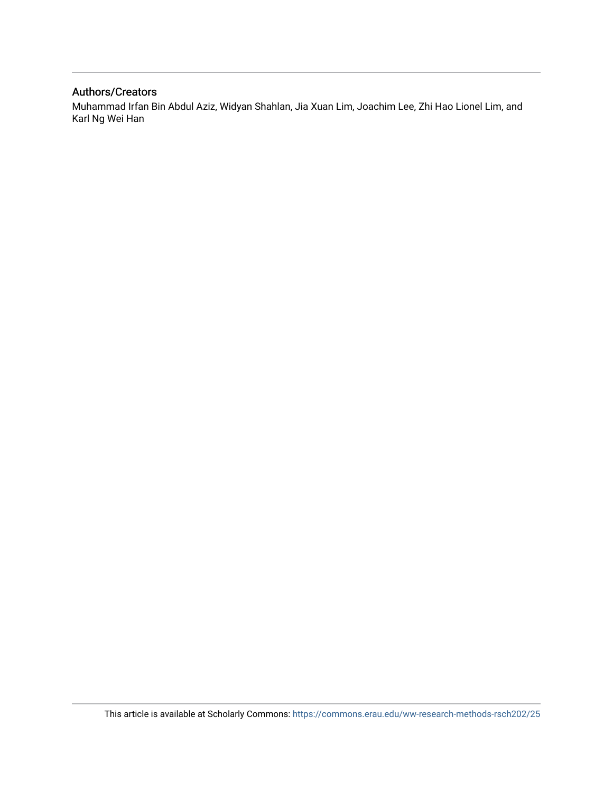## Authors/Creators

Muhammad Irfan Bin Abdul Aziz, Widyan Shahlan, Jia Xuan Lim, Joachim Lee, Zhi Hao Lionel Lim, and Karl Ng Wei Han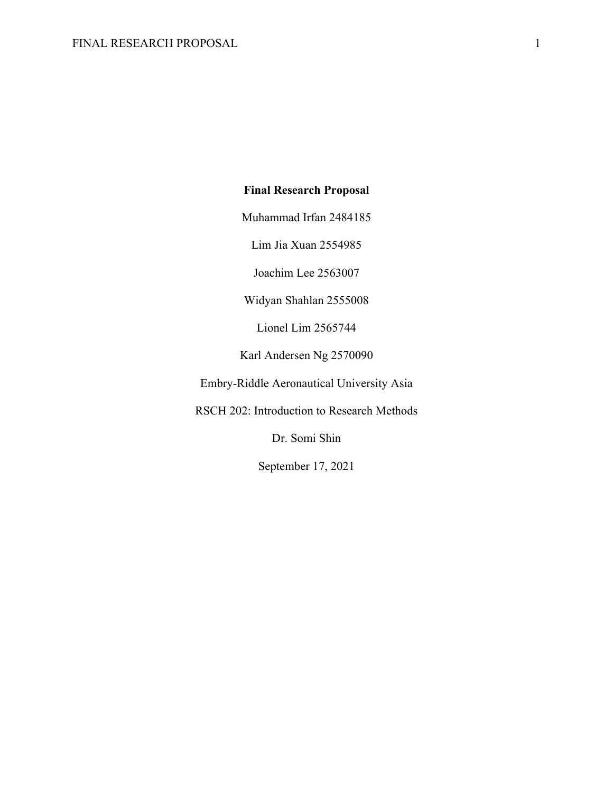# **Final Research Proposal**

Muhammad Irfan 2484185

Lim Jia Xuan 2554985

Joachim Lee 2563007

Widyan Shahlan 2555008

Lionel Lim 2565744

Karl Andersen Ng 2570090

Embry-Riddle Aeronautical University Asia

RSCH 202: Introduction to Research Methods

Dr. Somi Shin

September 17, 2021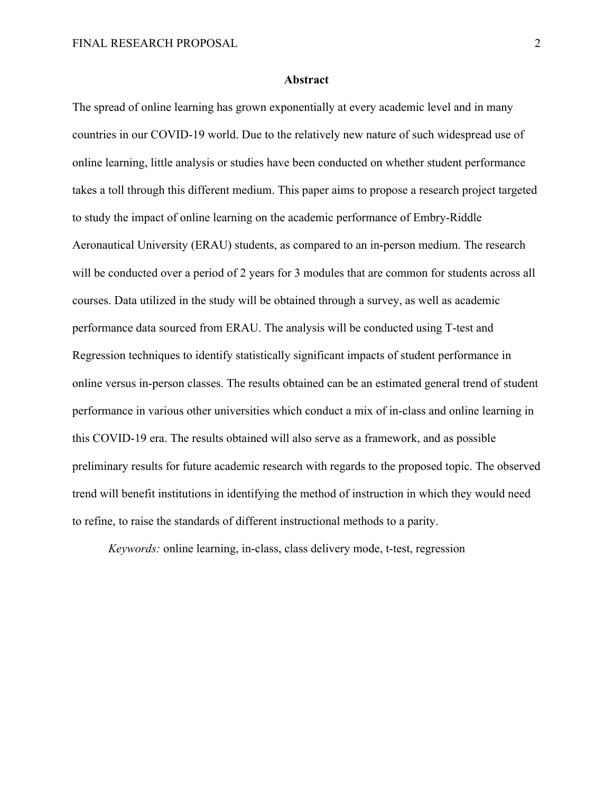#### **Abstract**

The spread of online learning has grown exponentially at every academic level and in many countries in our COVID-19 world. Due to the relatively new nature of such widespread use of online learning, little analysis or studies have been conducted on whether student performance takes a toll through this different medium. This paper aims to propose a research project targeted to study the impact of online learning on the academic performance of Embry-Riddle Aeronautical University (ERAU) students, as compared to an in-person medium. The research will be conducted over a period of 2 years for 3 modules that are common for students across all courses. Data utilized in the study will be obtained through a survey, as well as academic performance data sourced from ERAU. The analysis will be conducted using T-test and Regression techniques to identify statistically significant impacts of student performance in online versus in-person classes. The results obtained can be an estimated general trend of student performance in various other universities which conduct a mix of in-class and online learning in this COVID-19 era. The results obtained will also serve as a framework, and as possible preliminary results for future academic research with regards to the proposed topic. The observed trend will benefit institutions in identifying the method of instruction in which they would need to refine, to raise the standards of different instructional methods to a parity.

*Keywords:* online learning, in-class, class delivery mode, t-test, regression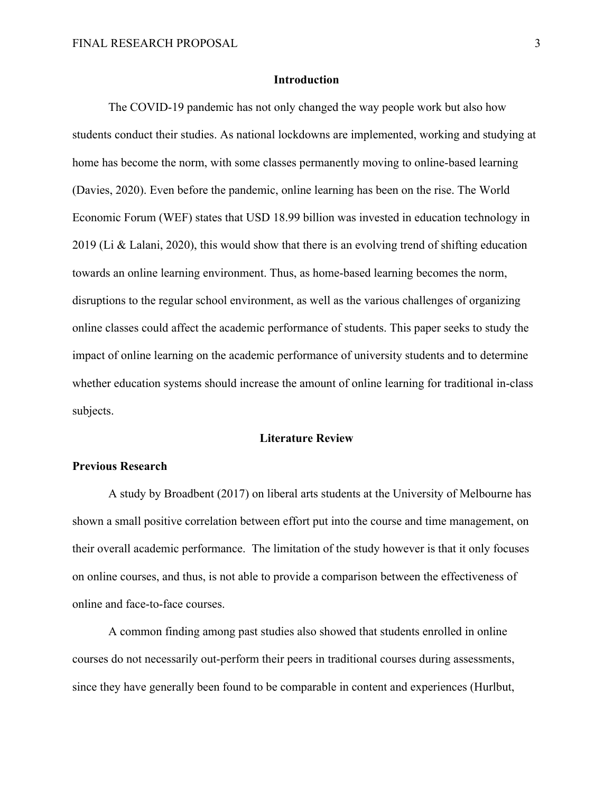#### **Introduction**

The COVID-19 pandemic has not only changed the way people work but also how students conduct their studies. As national lockdowns are implemented, working and studying at home has become the norm, with some classes permanently moving to online-based learning (Davies, 2020). Even before the pandemic, online learning has been on the rise. The World Economic Forum (WEF) states that USD 18.99 billion was invested in education technology in 2019 (Li & Lalani, 2020), this would show that there is an evolving trend of shifting education towards an online learning environment. Thus, as home-based learning becomes the norm, disruptions to the regular school environment, as well as the various challenges of organizing online classes could affect the academic performance of students. This paper seeks to study the impact of online learning on the academic performance of university students and to determine whether education systems should increase the amount of online learning for traditional in-class subjects.

#### **Literature Review**

## **Previous Research**

 A study by Broadbent (2017) on liberal arts students at the University of Melbourne has shown a small positive correlation between effort put into the course and time management, on their overall academic performance. The limitation of the study however is that it only focuses on online courses, and thus, is not able to provide a comparison between the effectiveness of online and face-to-face courses.

 A common finding among past studies also showed that students enrolled in online courses do not necessarily out-perform their peers in traditional courses during assessments, since they have generally been found to be comparable in content and experiences (Hurlbut,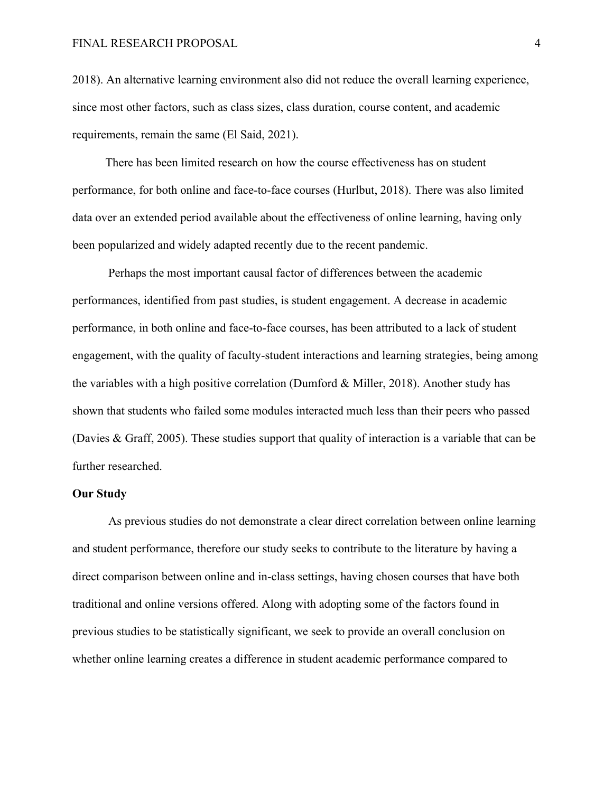#### FINAL RESEARCH PROPOSAL 4

2018). An alternative learning environment also did not reduce the overall learning experience, since most other factors, such as class sizes, class duration, course content, and academic requirements, remain the same (El Said, 2021).

 There has been limited research on how the course effectiveness has on student performance, for both online and face-to-face courses (Hurlbut, 2018). There was also limited data over an extended period available about the effectiveness of online learning, having only been popularized and widely adapted recently due to the recent pandemic.

 Perhaps the most important causal factor of differences between the academic performances, identified from past studies, is student engagement. A decrease in academic performance, in both online and face-to-face courses, has been attributed to a lack of student engagement, with the quality of faculty-student interactions and learning strategies, being among the variables with a high positive correlation (Dumford & Miller, 2018). Another study has shown that students who failed some modules interacted much less than their peers who passed (Davies & Graff, 2005). These studies support that quality of interaction is a variable that can be further researched.

#### **Our Study**

 As previous studies do not demonstrate a clear direct correlation between online learning and student performance, therefore our study seeks to contribute to the literature by having a direct comparison between online and in-class settings, having chosen courses that have both traditional and online versions offered. Along with adopting some of the factors found in previous studies to be statistically significant, we seek to provide an overall conclusion on whether online learning creates a difference in student academic performance compared to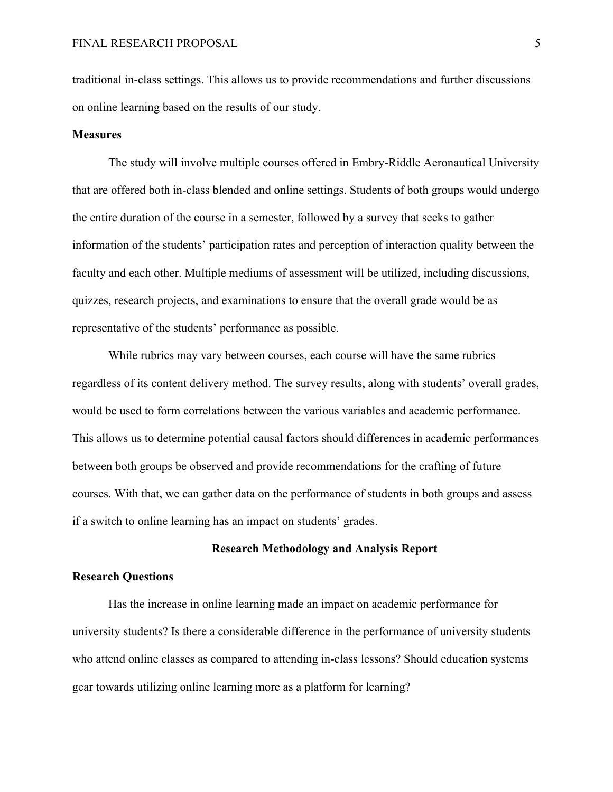traditional in-class settings. This allows us to provide recommendations and further discussions on online learning based on the results of our study.

#### **Measures**

The study will involve multiple courses offered in Embry-Riddle Aeronautical University that are offered both in-class blended and online settings. Students of both groups would undergo the entire duration of the course in a semester, followed by a survey that seeks to gather information of the students' participation rates and perception of interaction quality between the faculty and each other. Multiple mediums of assessment will be utilized, including discussions, quizzes, research projects, and examinations to ensure that the overall grade would be as representative of the students' performance as possible.

While rubrics may vary between courses, each course will have the same rubrics regardless of its content delivery method. The survey results, along with students' overall grades, would be used to form correlations between the various variables and academic performance. This allows us to determine potential causal factors should differences in academic performances between both groups be observed and provide recommendations for the crafting of future courses. With that, we can gather data on the performance of students in both groups and assess if a switch to online learning has an impact on students' grades.

#### **Research Methodology and Analysis Report**

## **Research Questions**

Has the increase in online learning made an impact on academic performance for university students? Is there a considerable difference in the performance of university students who attend online classes as compared to attending in-class lessons? Should education systems gear towards utilizing online learning more as a platform for learning?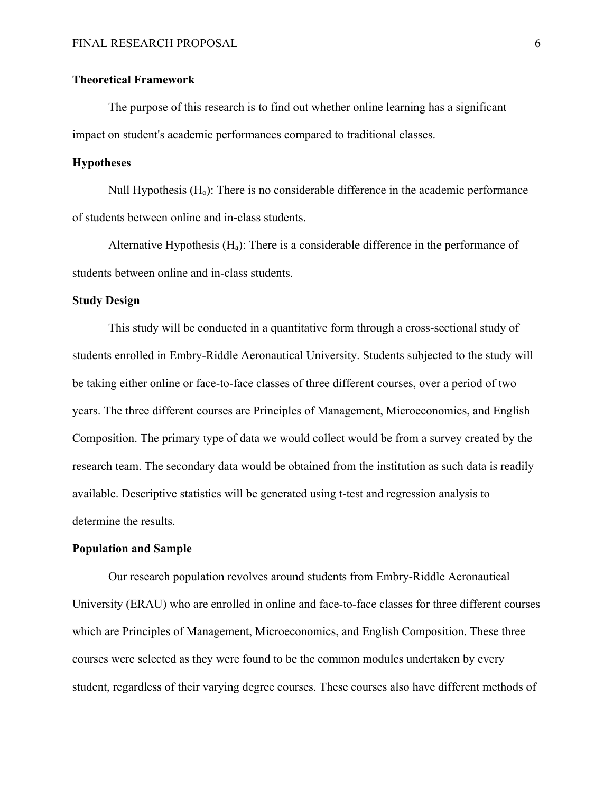## **Theoretical Framework**

The purpose of this research is to find out whether online learning has a significant impact on student's academic performances compared to traditional classes.

## **Hypotheses**

Null Hypothesis  $(H<sub>o</sub>)$ : There is no considerable difference in the academic performance of students between online and in-class students.

Alternative Hypothesis  $(H_a)$ : There is a considerable difference in the performance of students between online and in-class students.

#### **Study Design**

This study will be conducted in a quantitative form through a cross-sectional study of students enrolled in Embry-Riddle Aeronautical University. Students subjected to the study will be taking either online or face-to-face classes of three different courses, over a period of two years. The three different courses are Principles of Management, Microeconomics, and English Composition. The primary type of data we would collect would be from a survey created by the research team. The secondary data would be obtained from the institution as such data is readily available. Descriptive statistics will be generated using t-test and regression analysis to determine the results.

#### **Population and Sample**

Our research population revolves around students from Embry-Riddle Aeronautical University (ERAU) who are enrolled in online and face-to-face classes for three different courses which are Principles of Management, Microeconomics, and English Composition. These three courses were selected as they were found to be the common modules undertaken by every student, regardless of their varying degree courses. These courses also have different methods of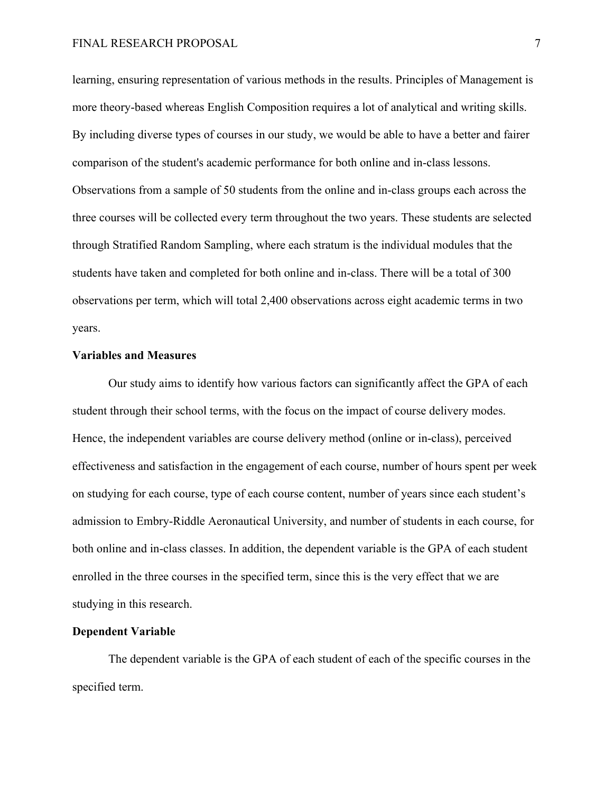learning, ensuring representation of various methods in the results. Principles of Management is more theory-based whereas English Composition requires a lot of analytical and writing skills. By including diverse types of courses in our study, we would be able to have a better and fairer comparison of the student's academic performance for both online and in-class lessons. Observations from a sample of 50 students from the online and in-class groups each across the three courses will be collected every term throughout the two years. These students are selected through Stratified Random Sampling, where each stratum is the individual modules that the students have taken and completed for both online and in-class. There will be a total of 300 observations per term, which will total 2,400 observations across eight academic terms in two years.

#### **Variables and Measures**

Our study aims to identify how various factors can significantly affect the GPA of each student through their school terms, with the focus on the impact of course delivery modes. Hence, the independent variables are course delivery method (online or in-class), perceived effectiveness and satisfaction in the engagement of each course, number of hours spent per week on studying for each course, type of each course content, number of years since each student's admission to Embry-Riddle Aeronautical University, and number of students in each course, for both online and in-class classes. In addition, the dependent variable is the GPA of each student enrolled in the three courses in the specified term, since this is the very effect that we are studying in this research.

#### **Dependent Variable**

The dependent variable is the GPA of each student of each of the specific courses in the specified term.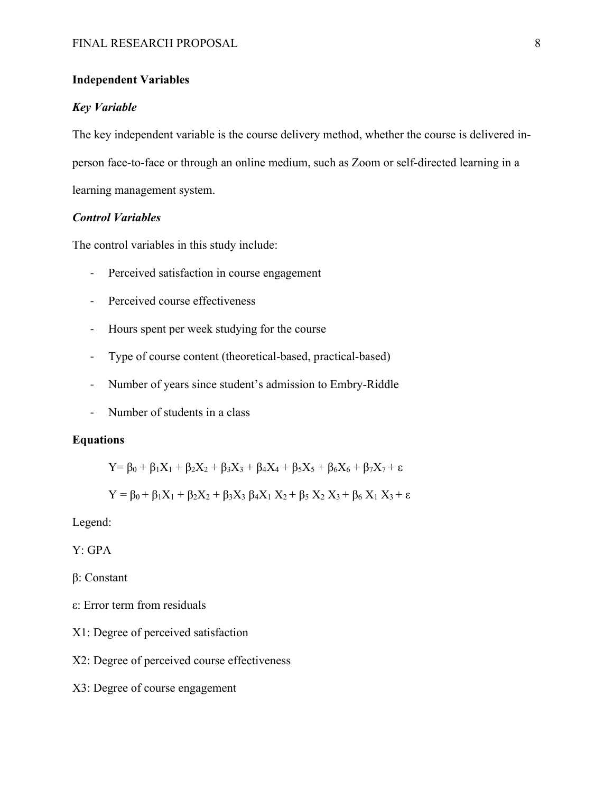## **Independent Variables**

#### *Key Variable*

The key independent variable is the course delivery method, whether the course is delivered inperson face-to-face or through an online medium, such as Zoom or self-directed learning in a learning management system.

# *Control Variables*

The control variables in this study include:

- Perceived satisfaction in course engagement
- Perceived course effectiveness
- Hours spent per week studying for the course
- Type of course content (theoretical-based, practical-based)
- Number of years since student's admission to Embry-Riddle
- Number of students in a class

## **Equations**

$$
Y = \beta_0 + \beta_1 X_1 + \beta_2 X_2 + \beta_3 X_3 + \beta_4 X_4 + \beta_5 X_5 + \beta_6 X_6 + \beta_7 X_7 + \epsilon
$$

$$
Y = \beta_0 + \beta_1 X_1 + \beta_2 X_2 + \beta_3 X_3 \beta_4 X_1 X_2 + \beta_5 X_2 X_3 + \beta_6 X_1 X_3 + \epsilon
$$

Legend:

Y: GPA

β: Constant

- ε: Error term from residuals
- X1: Degree of perceived satisfaction
- X2: Degree of perceived course effectiveness
- X3: Degree of course engagement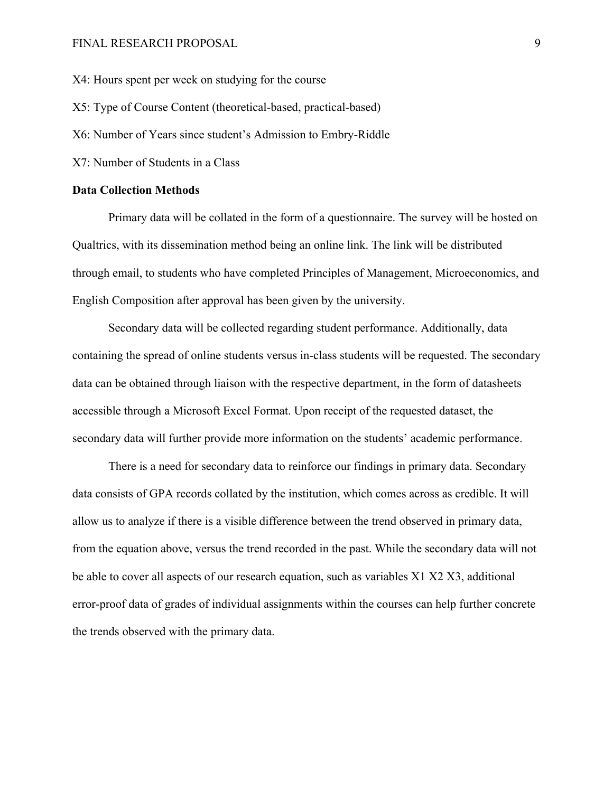### FINAL RESEARCH PROPOSAL 9

X4: Hours spent per week on studying for the course

X5: Type of Course Content (theoretical-based, practical-based)

X6: Number of Years since student's Admission to Embry-Riddle

X7: Number of Students in a Class

#### **Data Collection Methods**

Primary data will be collated in the form of a questionnaire. The survey will be hosted on Qualtrics, with its dissemination method being an online link. The link will be distributed through email, to students who have completed Principles of Management, Microeconomics, and English Composition after approval has been given by the university.

Secondary data will be collected regarding student performance. Additionally, data containing the spread of online students versus in-class students will be requested. The secondary data can be obtained through liaison with the respective department, in the form of datasheets accessible through a Microsoft Excel Format. Upon receipt of the requested dataset, the secondary data will further provide more information on the students' academic performance.

There is a need for secondary data to reinforce our findings in primary data. Secondary data consists of GPA records collated by the institution, which comes across as credible. It will allow us to analyze if there is a visible difference between the trend observed in primary data, from the equation above, versus the trend recorded in the past. While the secondary data will not be able to cover all aspects of our research equation, such as variables X1 X2 X3, additional error-proof data of grades of individual assignments within the courses can help further concrete the trends observed with the primary data.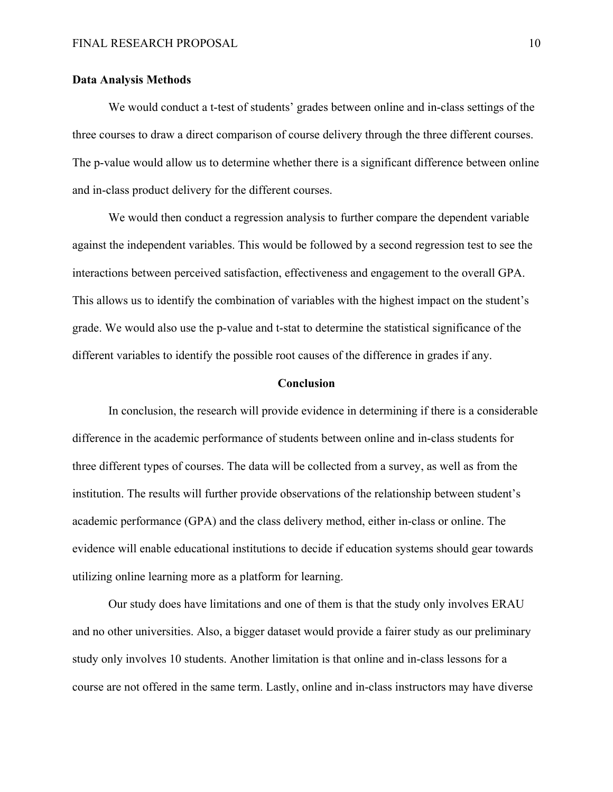#### **Data Analysis Methods**

We would conduct a t-test of students' grades between online and in-class settings of the three courses to draw a direct comparison of course delivery through the three different courses. The p-value would allow us to determine whether there is a significant difference between online and in-class product delivery for the different courses.

We would then conduct a regression analysis to further compare the dependent variable against the independent variables. This would be followed by a second regression test to see the interactions between perceived satisfaction, effectiveness and engagement to the overall GPA. This allows us to identify the combination of variables with the highest impact on the student's grade. We would also use the p-value and t-stat to determine the statistical significance of the different variables to identify the possible root causes of the difference in grades if any.

#### **Conclusion**

In conclusion, the research will provide evidence in determining if there is a considerable difference in the academic performance of students between online and in-class students for three different types of courses. The data will be collected from a survey, as well as from the institution. The results will further provide observations of the relationship between student's academic performance (GPA) and the class delivery method, either in-class or online. The evidence will enable educational institutions to decide if education systems should gear towards utilizing online learning more as a platform for learning.

Our study does have limitations and one of them is that the study only involves ERAU and no other universities. Also, a bigger dataset would provide a fairer study as our preliminary study only involves 10 students. Another limitation is that online and in-class lessons for a course are not offered in the same term. Lastly, online and in-class instructors may have diverse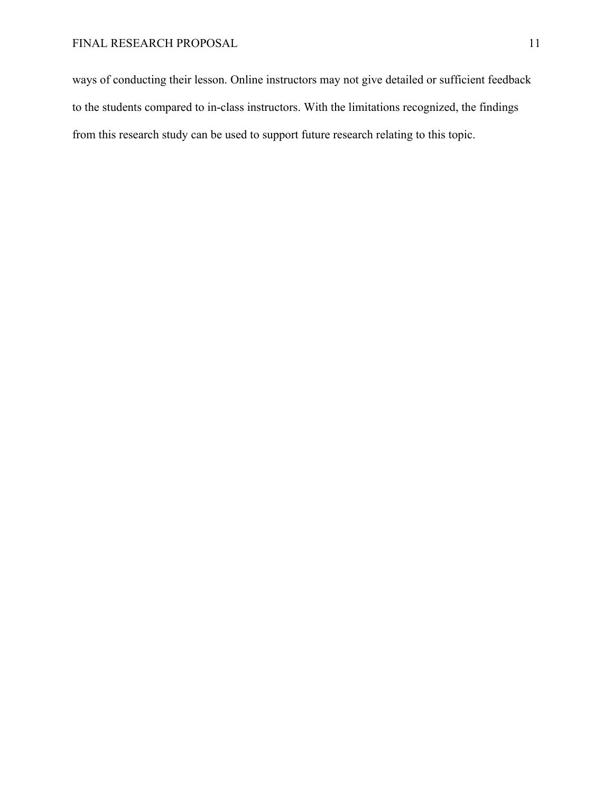ways of conducting their lesson. Online instructors may not give detailed or sufficient feedback to the students compared to in-class instructors. With the limitations recognized, the findings from this research study can be used to support future research relating to this topic.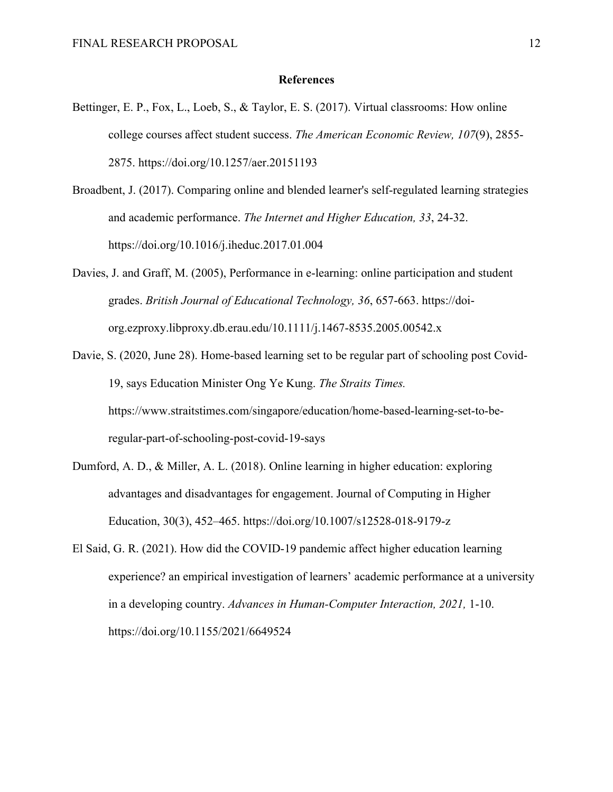#### **References**

- Bettinger, E. P., Fox, L., Loeb, S., & Taylor, E. S. (2017). Virtual classrooms: How online college courses affect student success. *The American Economic Review, 107*(9), 2855- 2875. https://doi.org/10.1257/aer.20151193
- Broadbent, J. (2017). Comparing online and blended learner's self-regulated learning strategies and academic performance. *The Internet and Higher Education, 33*, 24-32. https://doi.org/10.1016/j.iheduc.2017.01.004
- Davies, J. and Graff, M. (2005), Performance in e-learning: online participation and student grades. *British Journal of Educational Technology, 36*, 657-663. https://doiorg.ezproxy.libproxy.db.erau.edu/10.1111/j.1467-8535.2005.00542.x
- Davie, S. (2020, June 28). Home-based learning set to be regular part of schooling post Covid-19, says Education Minister Ong Ye Kung. *The Straits Times.* https://www.straitstimes.com/singapore/education/home-based-learning-set-to-beregular-part-of-schooling-post-covid-19-says
- Dumford, A. D., & Miller, A. L. (2018). Online learning in higher education: exploring advantages and disadvantages for engagement. Journal of Computing in Higher Education, 30(3), 452–465. https://doi.org/10.1007/s12528-018-9179-z
- El Said, G. R. (2021). How did the COVID-19 pandemic affect higher education learning experience? an empirical investigation of learners' academic performance at a university in a developing country. *Advances in Human-Computer Interaction, 2021,* 1-10. https://doi.org/10.1155/2021/6649524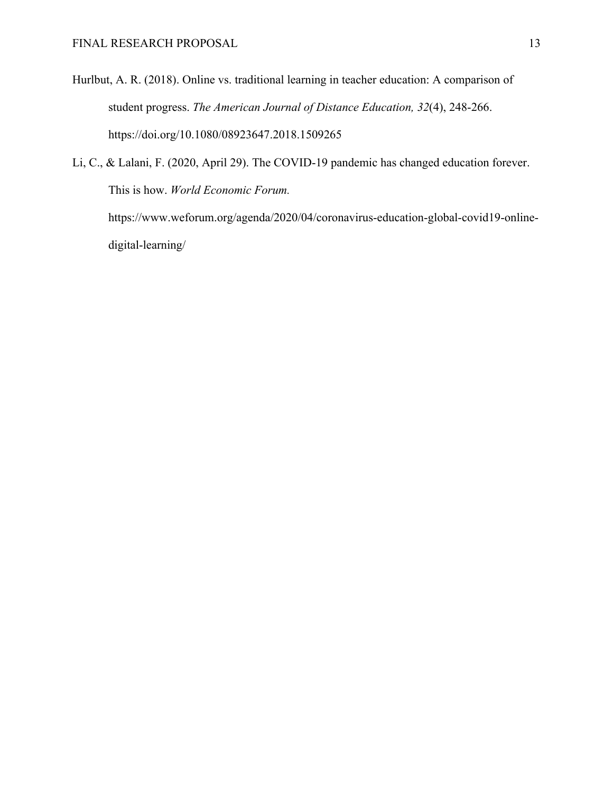Hurlbut, A. R. (2018). Online vs. traditional learning in teacher education: A comparison of student progress. *The American Journal of Distance Education, 32*(4), 248-266. https://doi.org/10.1080/08923647.2018.1509265

Li, C., & Lalani, F. (2020, April 29). The COVID-19 pandemic has changed education forever. This is how. *World Economic Forum.*  https://www.weforum.org/agenda/2020/04/coronavirus-education-global-covid19-onlinedigital-learning/